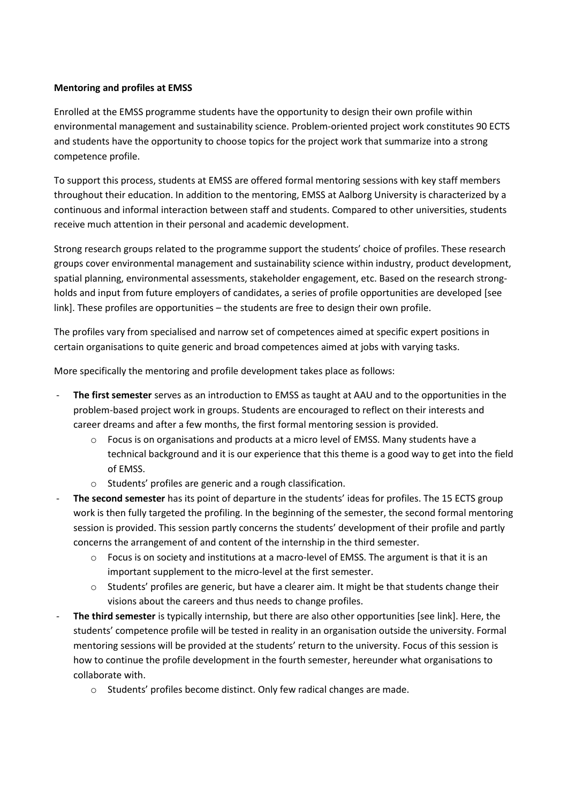## **Mentoring and profiles at EMSS**

Enrolled at the EMSS programme students have the opportunity to design their own profile within environmental management and sustainability science. Problem-oriented project work constitutes 90 ECTS and students have the opportunity to choose topics for the project work that summarize into a strong competence profile.

To support this process, students at EMSS are offered formal mentoring sessions with key staff members throughout their education. In addition to the mentoring, EMSS at Aalborg University is characterized by a continuous and informal interaction between staff and students. Compared to other universities, students receive much attention in their personal and academic development.

Strong research groups related to the programme support the students' choice of profiles. These research groups cover environmental management and sustainability science within industry, product development, spatial planning, environmental assessments, stakeholder engagement, etc. Based on the research strongholds and input from future employers of candidates, a series of profile opportunities are developed [see link]. These profiles are opportunities – the students are free to design their own profile.

The profiles vary from specialised and narrow set of competences aimed at specific expert positions in certain organisations to quite generic and broad competences aimed at jobs with varying tasks.

More specifically the mentoring and profile development takes place as follows:

- **The first semester** serves as an introduction to EMSS as taught at AAU and to the opportunities in the problem-based project work in groups. Students are encouraged to reflect on their interests and career dreams and after a few months, the first formal mentoring session is provided.
	- o Focus is on organisations and products at a micro level of EMSS. Many students have a technical background and it is our experience that this theme is a good way to get into the field of EMSS.
	- o Students' profiles are generic and a rough classification.
- The second semester has its point of departure in the students' ideas for profiles. The 15 ECTS group work is then fully targeted the profiling. In the beginning of the semester, the second formal mentoring session is provided. This session partly concerns the students' development of their profile and partly concerns the arrangement of and content of the internship in the third semester.
	- o Focus is on society and institutions at a macro-level of EMSS. The argument is that it is an important supplement to the micro-level at the first semester.
	- o Students' profiles are generic, but have a clearer aim. It might be that students change their visions about the careers and thus needs to change profiles.
- **The third semester** is typically internship, but there are also other opportunities [see link]. Here, the students' competence profile will be tested in reality in an organisation outside the university. Formal mentoring sessions will be provided at the students' return to the university. Focus of this session is how to continue the profile development in the fourth semester, hereunder what organisations to collaborate with.
	- o Students' profiles become distinct. Only few radical changes are made.